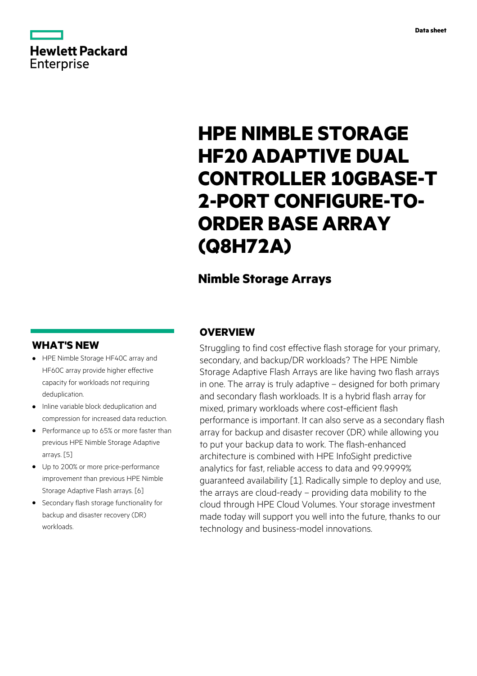# **Hewlett Packard** Enterprise

# **HPE NIMBLE STORAGE HF20 ADAPTIVE DUAL CONTROLLER 10GBASE-T 2-PORT CONFIGURE-TO-ORDER BASE ARRAY (Q8H72A)**

## **Nimble Storage Arrays**

### **WHAT'S NEW**

- **·** HPE Nimble Storage HF40C array and HF60C array provide higher effective capacity for workloads not requiring deduplication.
- **·** Inline variable block deduplication and compression for increased data reduction.
- **·** Performance up to 65% or more faster than previous HPE Nimble Storage Adaptive arrays. [5]
- **·** Up to 200% or more price-performance improvement than previous HPE Nimble Storage Adaptive Flash arrays. [6]
- **·** Secondary flash storage functionality for backup and disaster recovery (DR) workloads.

### **OVERVIEW**

Struggling to find cost effective flash storage for your primary, secondary, and backup/DR workloads? The HPE Nimble Storage Adaptive Flash Arrays are like having two flash arrays in one. The array is truly adaptive – designed for both primary and secondary flash workloads. It is a hybrid flash array for mixed, primary workloads where cost-efficient flash performance is important. It can also serve as a secondary flash array for backup and disaster recover (DR) while allowing you to put your backup data to work. The flash-enhanced architecture is combined with HPE InfoSight predictive analytics for fast, reliable access to data and 99.9999% guaranteed availability [1]. Radically simple to deploy and use, the arrays are cloud-ready – providing data mobility to the cloud through HPE Cloud Volumes. Your storage investment made today will support you well into the future, thanks to our technology and business-model innovations.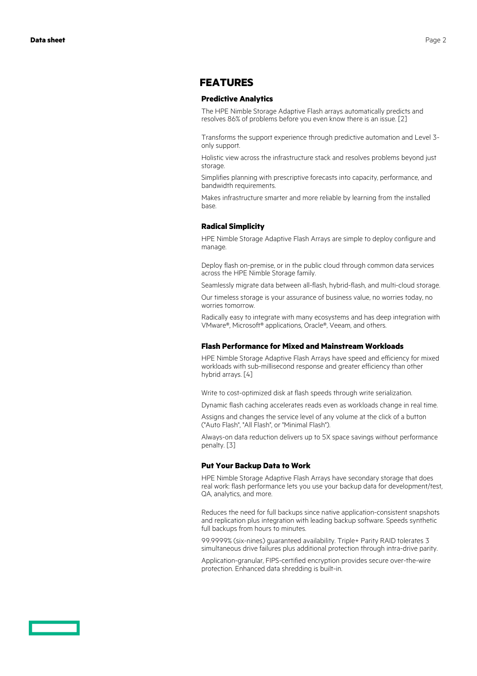### **FEATURES**

#### **Predictive Analytics**

The HPE Nimble Storage Adaptive Flash arrays automatically predicts and resolves 86% of problems before you even know there is an issue. [2]

Transforms the support experience through predictive automation and Level 3 only support.

Holistic view across the infrastructure stack and resolves problems beyond just storage

Simplifies planning with prescriptive forecasts into capacity, performance, and bandwidth requirements.

Makes infrastructure smarter and more reliable by learning from the installed base.

#### **Radical Simplicity**

HPE Nimble Storage Adaptive Flash Arrays are simple to deploy configure and manage.

Deploy flash on-premise, or in the public cloud through common data services across the HPE Nimble Storage family.

Seamlessly migrate data between all-flash, hybrid-flash, and multi-cloud storage.

Our timeless storage is your assurance of business value, no worries today, no worries tomorrow.

Radically easy to integrate with many ecosystems and has deep integration with VMware®, Microsoft® applications, Oracle®, Veeam, and others.

#### **Flash Performance for Mixed and Mainstream Workloads**

HPE Nimble Storage Adaptive Flash Arrays have speed and efficiency for mixed workloads with sub-millisecond response and greater efficiency than other hybrid arrays. [4]

Write to cost-optimized disk at flash speeds through write serialization.

Dynamic flash caching accelerates reads even as workloads change in real time.

Assigns and changes the service level of any volume at the click of a button ("Auto Flash", "All Flash", or "Minimal Flash").

Always-on data reduction delivers up to 5X space savings without performance penalty. [3]

#### **Put Your Backup Data to Work**

HPE Nimble Storage Adaptive Flash Arrays have secondary storage that does real work: flash performance lets you use your backup data for development/test, QA, analytics, and more.

Reduces the need for full backups since native application-consistent snapshots and replication plus integration with leading backup software. Speeds synthetic full backups from hours to minutes.

99.9999% (six-nines) guaranteed availability. Triple+ Parity RAID tolerates 3 simultaneous drive failures plus additional protection through intra-drive parity.

Application-granular, FIPS-certified encryption provides secure over-the-wire protection. Enhanced data shredding is built-in.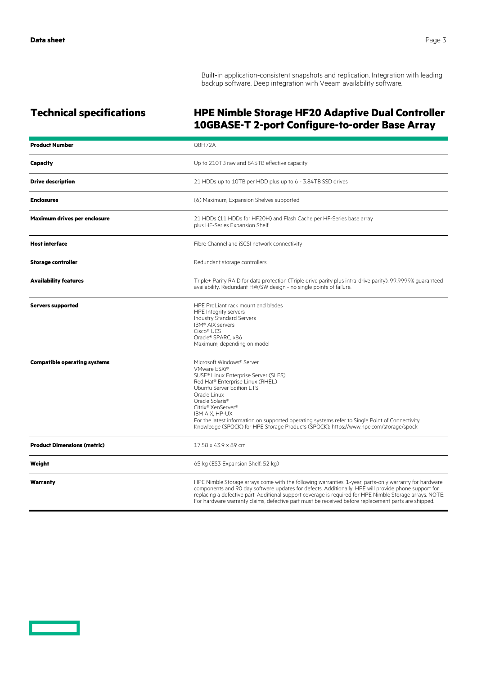Built-in application-consistent snapshots and replication. Integration with leading backup software. Deep integration with Veeam availability software.

### **Technical specifications HPE Nimble Storage HF20 Adaptive Dual Controller 10GBASE-T 2-port Configure-to-order Base Array**

| <b>Product Number</b>               | Q8H72A                                                                                                                                                                                                                                                                                                                                                                                                                                            |
|-------------------------------------|---------------------------------------------------------------------------------------------------------------------------------------------------------------------------------------------------------------------------------------------------------------------------------------------------------------------------------------------------------------------------------------------------------------------------------------------------|
| Capacity                            | Up to 210TB raw and 845TB effective capacity                                                                                                                                                                                                                                                                                                                                                                                                      |
| <b>Drive description</b>            | 21 HDDs up to 10TB per HDD plus up to 6 - 3.84TB SSD drives                                                                                                                                                                                                                                                                                                                                                                                       |
| <b>Enclosures</b>                   | (6) Maximum, Expansion Shelves supported                                                                                                                                                                                                                                                                                                                                                                                                          |
| Maximum drives per enclosure        | 21 HDDs (11 HDDs for HF20H) and Flash Cache per HF-Series base array<br>plus HF-Series Expansion Shelf.                                                                                                                                                                                                                                                                                                                                           |
| <b>Host interface</b>               | Fibre Channel and iSCSI network connectivity                                                                                                                                                                                                                                                                                                                                                                                                      |
| <b>Storage controller</b>           | Redundant storage controllers                                                                                                                                                                                                                                                                                                                                                                                                                     |
| <b>Availability features</b>        | Triple+ Parity RAID for data protection (Triple drive parity plus intra-drive parity). 99.9999% guaranteed<br>availability. Redundant HW/SW design - no single points of failure.                                                                                                                                                                                                                                                                 |
| <b>Servers supported</b>            | HPE ProLiant rack mount and blades<br>HPE Integrity servers<br><b>Industry Standard Servers</b><br>IBM® AIX servers<br>Cisco® UCS<br>Oracle® SPARC, x86<br>Maximum, depending on model                                                                                                                                                                                                                                                            |
| <b>Compatible operating systems</b> | Microsoft Windows® Server<br>VMware FSXi <sup>®</sup><br>SUSE® Linux Enterprise Server (SLES)<br>Red Hat® Enterprise Linux (RHEL)<br>Ubuntu Server Edition LTS<br>Oracle Linux<br>Oracle Solaris <sup>®</sup><br>Citrix® XenServer®<br>IBM AIX, HP-UX<br>For the latest information on supported operating systems refer to Single Point of Connectivity<br>Knowledge (SPOCK) for HPE Storage Products (SPOCK): https://www.hpe.com/storage/spock |
| <b>Product Dimensions (metric)</b>  | 17.58 x 43.9 x 89 cm                                                                                                                                                                                                                                                                                                                                                                                                                              |
| Weight                              | 65 kg (ES3 Expansion Shelf: 52 kg)                                                                                                                                                                                                                                                                                                                                                                                                                |
| Warranty                            | HPE Nimble Storage arrays come with the following warranties: 1-year, parts-only warranty for hardware<br>components and 90 day software updates for defects. Additionally, HPE will provide phone support for<br>replacing a defective part. Additional support coverage is required for HPE Nimble Storage arrays. NOTE:<br>For hardware warranty claims, defective part must be received before replacement parts are shipped.                 |